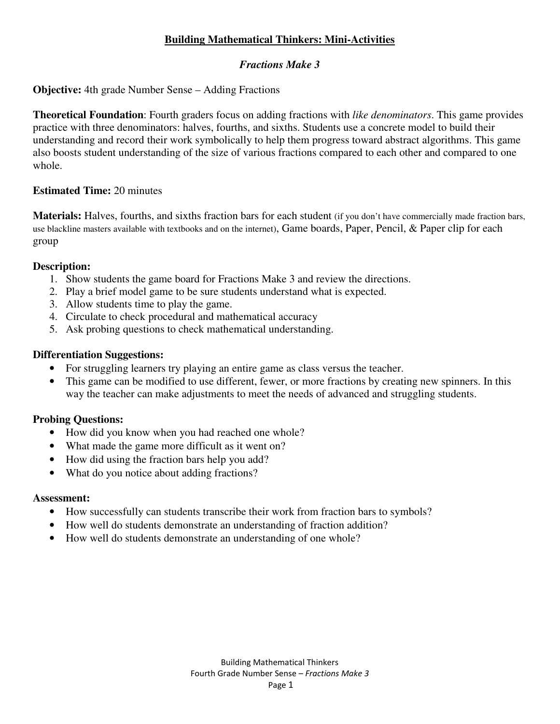# **Building Mathematical Thinkers: Mini-Activities**

## *Fractions Make 3*

**Objective:** 4th grade Number Sense – Adding Fractions

**Theoretical Foundation**: Fourth graders focus on adding fractions with *like denominators*. This game provides practice with three denominators: halves, fourths, and sixths. Students use a concrete model to build their understanding and record their work symbolically to help them progress toward abstract algorithms. This game also boosts student understanding of the size of various fractions compared to each other and compared to one whole.

## **Estimated Time:** 20 minutes

**Materials:** Halves, fourths, and sixths fraction bars for each student (if you don't have commercially made fraction bars, use blackline masters available with textbooks and on the internet), Game boards, Paper, Pencil, & Paper clip for each group

## **Description:**

- 1. Show students the game board for Fractions Make 3 and review the directions.
- 2. Play a brief model game to be sure students understand what is expected.
- 3. Allow students time to play the game.
- 4. Circulate to check procedural and mathematical accuracy
- 5. Ask probing questions to check mathematical understanding.

## **Differentiation Suggestions:**

- For struggling learners try playing an entire game as class versus the teacher.
- This game can be modified to use different, fewer, or more fractions by creating new spinners. In this way the teacher can make adjustments to meet the needs of advanced and struggling students.

# **Probing Questions:**

- How did you know when you had reached one whole?
- What made the game more difficult as it went on?
- How did using the fraction bars help you add?
- What do you notice about adding fractions?

#### **Assessment:**

- How successfully can students transcribe their work from fraction bars to symbols?
- How well do students demonstrate an understanding of fraction addition?
- How well do students demonstrate an understanding of one whole?